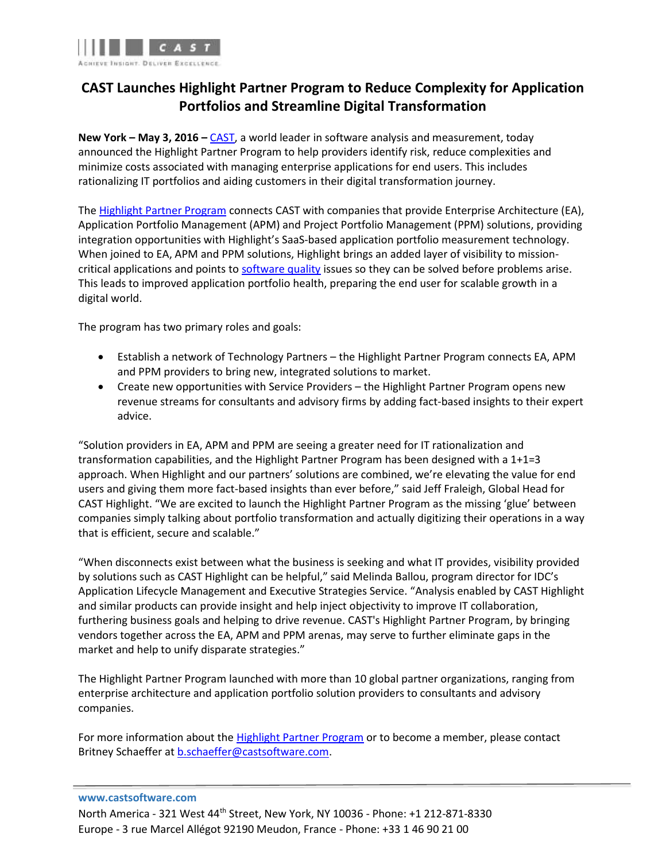

# **CAST Launches Highlight Partner Program to Reduce Complexity for Application Portfolios and Streamline Digital Transformation**

**New York – May 3, 2016 –** [CAST,](http://www.castsoftware.com/) a world leader in software analysis and measurement, today announced the Highlight Partner Program to help providers identify risk, reduce complexities and minimize costs associated with managing enterprise applications for end users. This includes rationalizing IT portfolios and aiding customers in their digital transformation journey.

The [Highlight Partner Program](http://www.casthighlight.com/highlight-partner-program/) connects CAST with companies that provide Enterprise Architecture (EA), Application Portfolio Management (APM) and Project Portfolio Management (PPM) solutions, providing integration opportunities with Highlight's SaaS-based application portfolio measurement technology. When joined to EA, APM and PPM solutions, Highlight brings an added layer of visibility to missioncritical applications and points to [software quality](http://www.castsoftware.com/glossary/software-quality) issues so they can be solved before problems arise. This leads to improved application portfolio health, preparing the end user for scalable growth in a digital world.

The program has two primary roles and goals:

- Establish a network of Technology Partners the Highlight Partner Program connects EA, APM and PPM providers to bring new, integrated solutions to market.
- Create new opportunities with Service Providers the Highlight Partner Program opens new revenue streams for consultants and advisory firms by adding fact-based insights to their expert advice.

"Solution providers in EA, APM and PPM are seeing a greater need for IT rationalization and transformation capabilities, and the Highlight Partner Program has been designed with a 1+1=3 approach. When Highlight and our partners' solutions are combined, we're elevating the value for end users and giving them more fact-based insights than ever before," said Jeff Fraleigh, Global Head for CAST Highlight. "We are excited to launch the Highlight Partner Program as the missing 'glue' between companies simply talking about portfolio transformation and actually digitizing their operations in a way that is efficient, secure and scalable."

"When disconnects exist between what the business is seeking and what IT provides, visibility provided by solutions such as CAST Highlight can be helpful," said Melinda Ballou, program director for IDC's Application Lifecycle Management and Executive Strategies Service. "Analysis enabled by CAST Highlight and similar products can provide insight and help inject objectivity to improve IT collaboration, furthering business goals and helping to drive revenue. CAST's Highlight Partner Program, by bringing vendors together across the EA, APM and PPM arenas, may serve to further eliminate gaps in the market and help to unify disparate strategies."

The Highlight Partner Program launched with more than 10 global partner organizations, ranging from enterprise architecture and application portfolio solution providers to consultants and advisory companies.

For more information about the [Highlight Partner Program](http://www.casthighlight.com/highlight-partner-program/) or to become a member, please contact Britney Schaeffer at [b.schaeffer@castsoftware.com.](mailto:b.schaeffer@castsoftware.com)

#### **www.castsoftware.com**

North America - 321 West 44th Street, New York, NY 10036 - Phone: +1 212-871-8330 Europe - 3 rue Marcel Allégot 92190 Meudon, France - Phone: +33 1 46 90 21 00